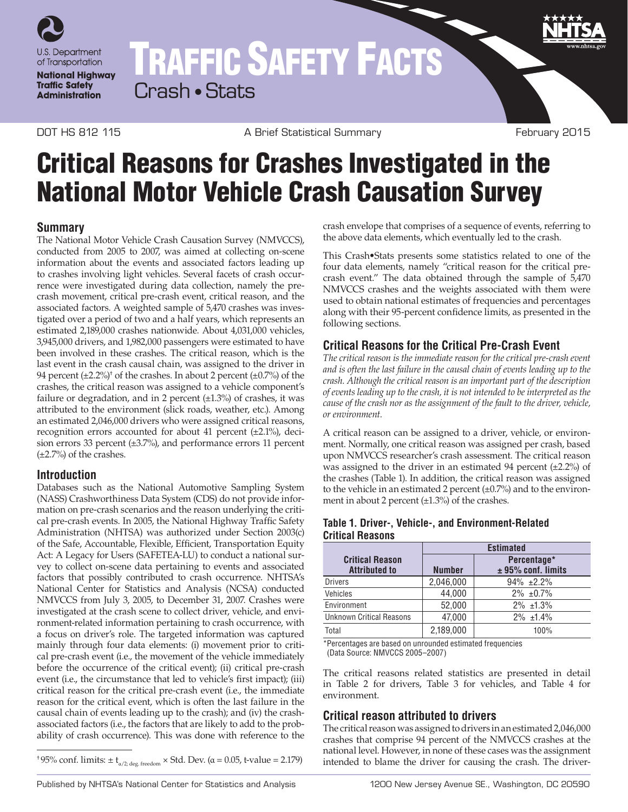

# TRAFFIC SAFETY FACTS Crash • Stats

DOT HS 812 115 **A Brief Statistical Summary COA February 2015** 

## Critical Reasons for Crashes Investigated in the National Motor Vehicle Crash Causation Survey

### **Summary**

The National Motor Vehicle Crash Causation Survey (NMVCCS), conducted from 2005 to 2007, was aimed at collecting on-scene information about the events and associated factors leading up to crashes involving light vehicles. Several facets of crash occurrence were investigated during data collection, namely the precrash movement, critical pre-crash event, critical reason, and the associated factors. A weighted sample of 5,470 crashes was investigated over a period of two and a half years, which represents an estimated 2,189,000 crashes nationwide. About 4,031,000 vehicles, 3,945,000 drivers, and 1,982,000 passengers were estimated to have been involved in these crashes. The critical reason, which is the last event in the crash causal chain, was assigned to the driver in 94 percent  $(\pm 2.2\%)^{\dagger}$  of the crashes. In about 2 percent  $(\pm 0.7\%)$  of the crashes, the critical reason was assigned to a vehicle component's failure or degradation, and in 2 percent  $(\pm 1.3\%)$  of crashes, it was attributed to the environment (slick roads, weather, etc.). Among an estimated 2,046,000 drivers who were assigned critical reasons, recognition errors accounted for about 41 percent (±2.1%), decision errors 33 percent (±3.7%), and performance errors 11 percent  $(\pm 2.7\%)$  of the crashes.

#### **Introduction**

Databases such as the National Automotive Sampling System (NASS) Crashworthiness Data System (CDS) do not provide information on pre-crash scenarios and the reason underlying the critical pre-crash events. In 2005, the National Highway Traffic Safety Administration (NHTSA) was authorized under Section 2003(c) of the Safe, Accountable, Flexible, Efficient, Transportation Equity Act: A Legacy for Users (SAFETEA-LU) to conduct a national survey to collect on-scene data pertaining to events and associated factors that possibly contributed to crash occurrence. NHTSA's National Center for Statistics and Analysis (NCSA) conducted NMVCCS from July 3, 2005, to December 31, 2007. Crashes were investigated at the crash scene to collect driver, vehicle, and environment-related information pertaining to crash occurrence, with a focus on driver's role. The targeted information was captured mainly through four data elements: (i) movement prior to critical pre-crash event (i.e., the movement of the vehicle immediately before the occurrence of the critical event); (ii) critical pre-crash event (i.e., the circumstance that led to vehicle's first impact); (iii) critical reason for the critical pre-crash event (i.e., the immediate reason for the critical event, which is often the last failure in the causal chain of events leading up to the crash); and (iv) the crashassociated factors (i.e., the factors that are likely to add to the probability of crash occurrence). This was done with reference to the

crash envelope that comprises of a sequence of events, referring to the above data elements, which eventually led to the crash.

This Crash•Stats presents some statistics related to one of the four data elements, namely "critical reason for the critical precrash event." The data obtained through the sample of 5,470 NMVCCS crashes and the weights associated with them were used to obtain national estimates of frequencies and percentages along with their 95-percent confidence limits, as presented in the following sections.

## **Critical Reasons for the Critical Pre‑Crash Event**

*The critical reason is the immediate reason for the critical pre-crash event and is often the last failure in the causal chain of events leading up to the crash. Although the critical reason is an important part of the description of events leading up to the crash, it is not intended to be interpreted as the cause of the crash nor as the assignment of the fault to the driver, vehicle, or environment.*

A critical reason can be assigned to a driver, vehicle, or environment. Normally, one critical reason was assigned per crash, based upon NMVCCS researcher's crash assessment. The critical reason was assigned to the driver in an estimated 94 percent (±2.2%) of the crashes (Table 1). In addition, the critical reason was assigned to the vehicle in an estimated 2 percent  $(\pm 0.7%)$  and to the environment in about 2 percent (±1.3%) of the crashes.

|                                                | <b>Estimated</b> |                                     |  |
|------------------------------------------------|------------------|-------------------------------------|--|
| <b>Critical Reason</b><br><b>Attributed to</b> | <b>Number</b>    | Percentage*<br>$± 95%$ conf. limits |  |
| <b>Drivers</b>                                 | 2,046,000        | $94\% +2.2\%$                       |  |
| Vehicles                                       | 44,000           | $2\% \pm 0.7\%$                     |  |
| Environment                                    | 52,000           | $2\%$ ±1.3%                         |  |
| <b>Unknown Critical Reasons</b>                | 47,000           | $2\%$ $\pm$ 1.4%                    |  |
| Total                                          | 2,189,000        | 100%                                |  |

#### **Table 1. Driver-, Vehicle-, and Environment-Related Critical Reasons**

\*Percentages are based on unrounded estimated frequencies (Data Source: NMVCCS 2005–2007)

The critical reasons related statistics are presented in detail in Table 2 for drivers, Table 3 for vehicles, and Table 4 for environment.

## **Critical reason attributed to drivers**

The critical reason was assigned to drivers in an estimated 2,046,000 crashes that comprise 94 percent of the NMVCCS crashes at the national level. However, in none of these cases was the assignment <sup>+</sup>95% conf. limits:  $\pm t_{\alpha/2; \text{deg. freedom}} \times$  Std. Dev. ( $\alpha$  = 0.05, t-value = 2.179) intended to blame the driver for causing the crash. The driver